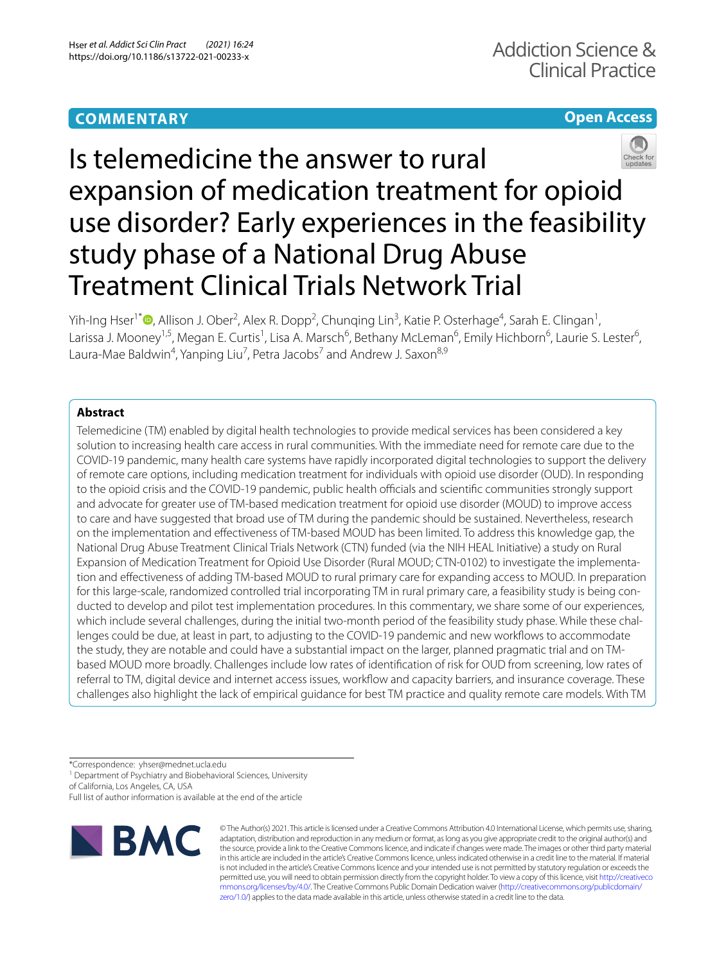# **COMMENTARY**

## **Open Access**



# Is telemedicine the answer to rural expansion of medication treatment for opioid use disorder? Early experiences in the feasibility study phase of a National Drug Abuse Treatment Clinical Trials Network Trial

Yih-Ing Hser<sup>1[\\*](http://orcid.org/0000-0002-5809-739X)</sup> <sup>(D</sup>, Allison J. Ober<sup>2</sup>, Alex R. Dopp<sup>2</sup>, Chunqing Lin<sup>3</sup>, Katie P. Osterhage<sup>4</sup>, Sarah E. Clingan<sup>1</sup>, Larissa J. Mooney<sup>1,5</sup>, Megan E. Curtis<sup>1</sup>, Lisa A. Marsch<sup>6</sup>, Bethany McLeman<sup>6</sup>, Emily Hichborn<sup>6</sup>, Laurie S. Lester<sup>6</sup>, Laura-Mae Baldwin<sup>4</sup>, Yanping Liu<sup>7</sup>, Petra Jacobs<sup>7</sup> and Andrew J. Saxon<sup>8,9</sup>

### **Abstract**

Telemedicine (TM) enabled by digital health technologies to provide medical services has been considered a key solution to increasing health care access in rural communities. With the immediate need for remote care due to the COVID-19 pandemic, many health care systems have rapidly incorporated digital technologies to support the delivery of remote care options, including medication treatment for individuals with opioid use disorder (OUD). In responding to the opioid crisis and the COVID-19 pandemic, public health officials and scientific communities strongly support and advocate for greater use of TM-based medication treatment for opioid use disorder (MOUD) to improve access to care and have suggested that broad use of TM during the pandemic should be sustained. Nevertheless, research on the implementation and efectiveness of TM-based MOUD has been limited. To address this knowledge gap, the National Drug Abuse Treatment Clinical Trials Network (CTN) funded (via the NIH HEAL Initiative) a study on Rural Expansion of Medication Treatment for Opioid Use Disorder (Rural MOUD; CTN-0102) to investigate the implementa‑ tion and efectiveness of adding TM-based MOUD to rural primary care for expanding access to MOUD. In preparation for this large-scale, randomized controlled trial incorporating TM in rural primary care, a feasibility study is being conducted to develop and pilot test implementation procedures. In this commentary, we share some of our experiences, which include several challenges, during the initial two-month period of the feasibility study phase. While these challenges could be due, at least in part, to adjusting to the COVID-19 pandemic and new workflows to accommodate the study, they are notable and could have a substantial impact on the larger, planned pragmatic trial and on TMbased MOUD more broadly. Challenges include low rates of identifcation of risk for OUD from screening, low rates of referral to TM, digital device and internet access issues, workfow and capacity barriers, and insurance coverage. These challenges also highlight the lack of empirical guidance for best TM practice and quality remote care models. With TM

\*Correspondence: yhser@mednet.ucla.edu

<sup>1</sup> Department of Psychiatry and Biobehavioral Sciences, University

of California, Los Angeles, CA, USA

Full list of author information is available at the end of the article



© The Author(s) 2021. This article is licensed under a Creative Commons Attribution 4.0 International License, which permits use, sharing, adaptation, distribution and reproduction in any medium or format, as long as you give appropriate credit to the original author(s) and the source, provide a link to the Creative Commons licence, and indicate if changes were made. The images or other third party material in this article are included in the article's Creative Commons licence, unless indicated otherwise in a credit line to the material. If material is not included in the article's Creative Commons licence and your intended use is not permitted by statutory regulation or exceeds the permitted use, you will need to obtain permission directly from the copyright holder. To view a copy of this licence, visit [http://creativeco](http://creativecommons.org/licenses/by/4.0/) [mmons.org/licenses/by/4.0/.](http://creativecommons.org/licenses/by/4.0/) The Creative Commons Public Domain Dedication waiver ([http://creativecommons.org/publicdomain/](http://creativecommons.org/publicdomain/zero/1.0/) [zero/1.0/\)](http://creativecommons.org/publicdomain/zero/1.0/) applies to the data made available in this article, unless otherwise stated in a credit line to the data.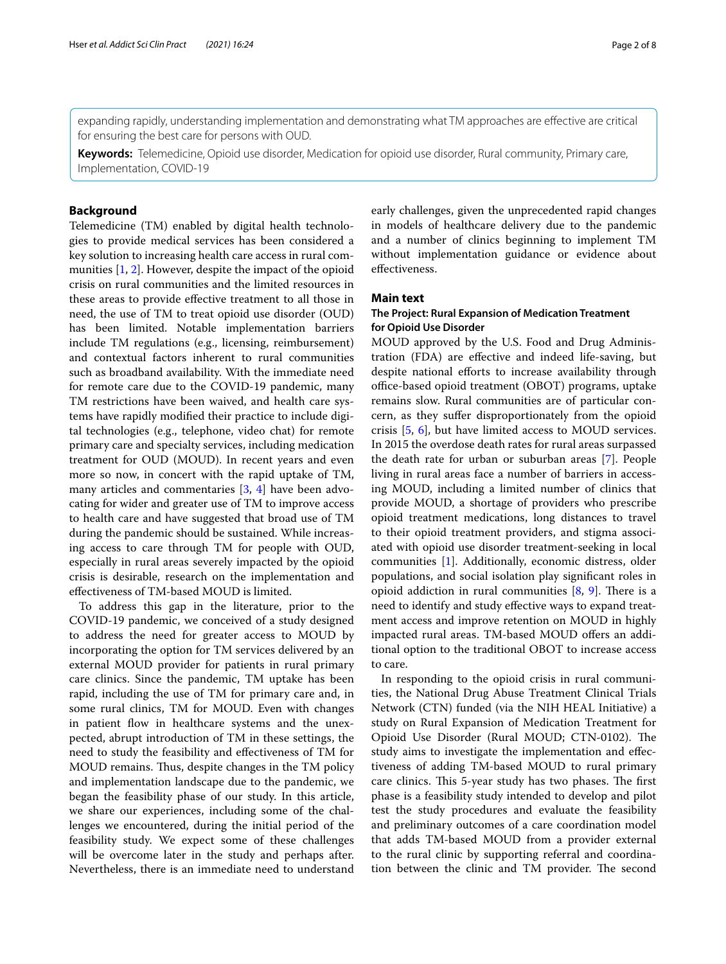expanding rapidly, understanding implementation and demonstrating what TM approaches are efective are critical for ensuring the best care for persons with OUD.

**Keywords:** Telemedicine, Opioid use disorder, Medication for opioid use disorder, Rural community, Primary care, Implementation, COVID-19

#### **Background**

Telemedicine (TM) enabled by digital health technologies to provide medical services has been considered a key solution to increasing health care access in rural communities [[1,](#page-7-0) [2](#page-7-1)]. However, despite the impact of the opioid crisis on rural communities and the limited resources in these areas to provide efective treatment to all those in need, the use of TM to treat opioid use disorder (OUD) has been limited. Notable implementation barriers include TM regulations (e.g., licensing, reimbursement) and contextual factors inherent to rural communities such as broadband availability. With the immediate need for remote care due to the COVID-19 pandemic, many TM restrictions have been waived, and health care systems have rapidly modifed their practice to include digital technologies (e.g., telephone, video chat) for remote primary care and specialty services, including medication treatment for OUD (MOUD). In recent years and even more so now, in concert with the rapid uptake of TM, many articles and commentaries [[3](#page-7-2), [4](#page-7-3)] have been advocating for wider and greater use of TM to improve access to health care and have suggested that broad use of TM during the pandemic should be sustained. While increasing access to care through TM for people with OUD, especially in rural areas severely impacted by the opioid crisis is desirable, research on the implementation and efectiveness of TM-based MOUD is limited.

To address this gap in the literature, prior to the COVID-19 pandemic, we conceived of a study designed to address the need for greater access to MOUD by incorporating the option for TM services delivered by an external MOUD provider for patients in rural primary care clinics. Since the pandemic, TM uptake has been rapid, including the use of TM for primary care and, in some rural clinics, TM for MOUD. Even with changes in patient flow in healthcare systems and the unexpected, abrupt introduction of TM in these settings, the need to study the feasibility and efectiveness of TM for MOUD remains. Thus, despite changes in the TM policy and implementation landscape due to the pandemic, we began the feasibility phase of our study. In this article, we share our experiences, including some of the challenges we encountered, during the initial period of the feasibility study. We expect some of these challenges will be overcome later in the study and perhaps after. Nevertheless, there is an immediate need to understand early challenges, given the unprecedented rapid changes in models of healthcare delivery due to the pandemic and a number of clinics beginning to implement TM without implementation guidance or evidence about efectiveness.

#### **Main text**

#### **The Project: Rural Expansion of Medication Treatment for Opioid Use Disorder**

MOUD approved by the U.S. Food and Drug Administration (FDA) are efective and indeed life-saving, but despite national efforts to increase availability through office-based opioid treatment (OBOT) programs, uptake remains slow. Rural communities are of particular concern, as they sufer disproportionately from the opioid crisis [[5,](#page-7-4) [6](#page-7-5)], but have limited access to MOUD services. In 2015 the overdose death rates for rural areas surpassed the death rate for urban or suburban areas [[7\]](#page-7-6). People living in rural areas face a number of barriers in accessing MOUD, including a limited number of clinics that provide MOUD, a shortage of providers who prescribe opioid treatment medications, long distances to travel to their opioid treatment providers, and stigma associated with opioid use disorder treatment-seeking in local communities [\[1](#page-7-0)]. Additionally, economic distress, older populations, and social isolation play signifcant roles in opioid addiction in rural communities  $[8, 9]$  $[8, 9]$  $[8, 9]$ . There is a need to identify and study efective ways to expand treatment access and improve retention on MOUD in highly impacted rural areas. TM-based MOUD offers an additional option to the traditional OBOT to increase access to care.

In responding to the opioid crisis in rural communities, the National Drug Abuse Treatment Clinical Trials Network (CTN) funded (via the NIH HEAL Initiative) a study on Rural Expansion of Medication Treatment for Opioid Use Disorder (Rural MOUD; CTN-0102). The study aims to investigate the implementation and efectiveness of adding TM-based MOUD to rural primary care clinics. This 5-year study has two phases. The first phase is a feasibility study intended to develop and pilot test the study procedures and evaluate the feasibility and preliminary outcomes of a care coordination model that adds TM-based MOUD from a provider external to the rural clinic by supporting referral and coordination between the clinic and TM provider. The second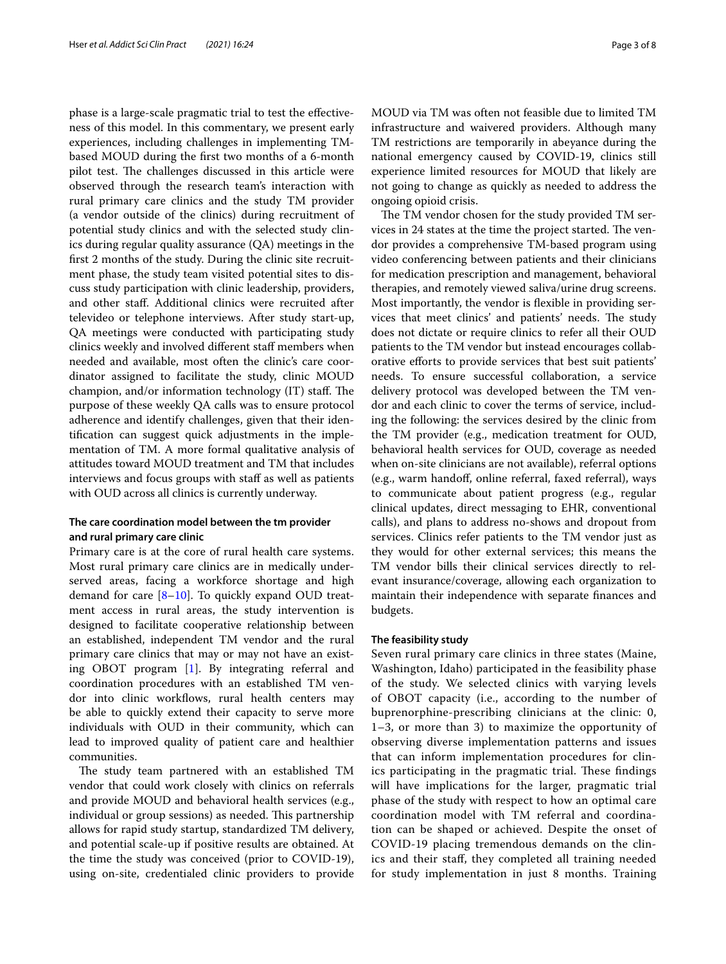phase is a large-scale pragmatic trial to test the efectiveness of this model. In this commentary, we present early experiences, including challenges in implementing TMbased MOUD during the frst two months of a 6-month pilot test. The challenges discussed in this article were observed through the research team's interaction with rural primary care clinics and the study TM provider (a vendor outside of the clinics) during recruitment of potential study clinics and with the selected study clinics during regular quality assurance (QA) meetings in the frst 2 months of the study. During the clinic site recruitment phase, the study team visited potential sites to discuss study participation with clinic leadership, providers, and other staf. Additional clinics were recruited after televideo or telephone interviews. After study start-up, QA meetings were conducted with participating study clinics weekly and involved different staff members when needed and available, most often the clinic's care coordinator assigned to facilitate the study, clinic MOUD champion, and/or information technology (IT) staff. The purpose of these weekly QA calls was to ensure protocol adherence and identify challenges, given that their identifcation can suggest quick adjustments in the implementation of TM. A more formal qualitative analysis of attitudes toward MOUD treatment and TM that includes interviews and focus groups with staff as well as patients with OUD across all clinics is currently underway.

#### **The care coordination model between the tm provider and rural primary care clinic**

Primary care is at the core of rural health care systems. Most rural primary care clinics are in medically underserved areas, facing a workforce shortage and high demand for care  $[8-10]$  $[8-10]$ . To quickly expand OUD treatment access in rural areas, the study intervention is designed to facilitate cooperative relationship between an established, independent TM vendor and the rural primary care clinics that may or may not have an existing OBOT program [[1\]](#page-7-0). By integrating referral and coordination procedures with an established TM vendor into clinic workflows, rural health centers may be able to quickly extend their capacity to serve more individuals with OUD in their community, which can lead to improved quality of patient care and healthier communities.

The study team partnered with an established TM vendor that could work closely with clinics on referrals and provide MOUD and behavioral health services (e.g., individual or group sessions) as needed. This partnership allows for rapid study startup, standardized TM delivery, and potential scale-up if positive results are obtained. At the time the study was conceived (prior to COVID-19), using on-site, credentialed clinic providers to provide MOUD via TM was often not feasible due to limited TM infrastructure and waivered providers. Although many TM restrictions are temporarily in abeyance during the national emergency caused by COVID-19, clinics still experience limited resources for MOUD that likely are not going to change as quickly as needed to address the ongoing opioid crisis.

The TM vendor chosen for the study provided TM services in 24 states at the time the project started. The vendor provides a comprehensive TM-based program using video conferencing between patients and their clinicians for medication prescription and management, behavioral therapies, and remotely viewed saliva/urine drug screens. Most importantly, the vendor is fexible in providing services that meet clinics' and patients' needs. The study does not dictate or require clinics to refer all their OUD patients to the TM vendor but instead encourages collaborative eforts to provide services that best suit patients' needs. To ensure successful collaboration, a service delivery protocol was developed between the TM vendor and each clinic to cover the terms of service, including the following: the services desired by the clinic from the TM provider (e.g., medication treatment for OUD, behavioral health services for OUD, coverage as needed when on-site clinicians are not available), referral options (e.g., warm handof, online referral, faxed referral), ways to communicate about patient progress (e.g., regular clinical updates, direct messaging to EHR, conventional calls), and plans to address no-shows and dropout from services. Clinics refer patients to the TM vendor just as they would for other external services; this means the TM vendor bills their clinical services directly to relevant insurance/coverage, allowing each organization to maintain their independence with separate fnances and budgets.

#### **The feasibility study**

Seven rural primary care clinics in three states (Maine, Washington, Idaho) participated in the feasibility phase of the study. We selected clinics with varying levels of OBOT capacity (i.e., according to the number of buprenorphine-prescribing clinicians at the clinic: 0, 1–3, or more than 3) to maximize the opportunity of observing diverse implementation patterns and issues that can inform implementation procedures for clinics participating in the pragmatic trial. These findings will have implications for the larger, pragmatic trial phase of the study with respect to how an optimal care coordination model with TM referral and coordination can be shaped or achieved. Despite the onset of COVID-19 placing tremendous demands on the clinics and their staf, they completed all training needed for study implementation in just 8 months. Training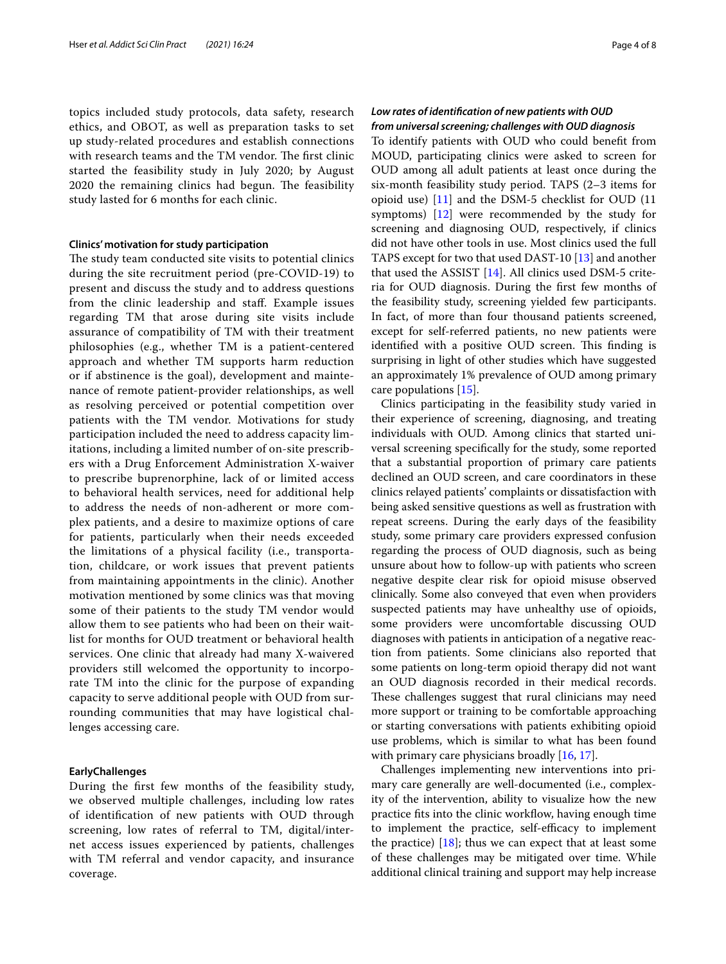topics included study protocols, data safety, research ethics, and OBOT, as well as preparation tasks to set up study-related procedures and establish connections with research teams and the TM vendor. The first clinic started the feasibility study in July 2020; by August 2020 the remaining clinics had begun. The feasibility study lasted for 6 months for each clinic.

#### **Clinics' motivation for study participation**

The study team conducted site visits to potential clinics during the site recruitment period (pre-COVID-19) to present and discuss the study and to address questions from the clinic leadership and staf. Example issues regarding TM that arose during site visits include assurance of compatibility of TM with their treatment philosophies (e.g., whether TM is a patient-centered approach and whether TM supports harm reduction or if abstinence is the goal), development and maintenance of remote patient-provider relationships, as well as resolving perceived or potential competition over patients with the TM vendor. Motivations for study participation included the need to address capacity limitations, including a limited number of on-site prescribers with a Drug Enforcement Administration X-waiver to prescribe buprenorphine, lack of or limited access to behavioral health services, need for additional help to address the needs of non-adherent or more complex patients, and a desire to maximize options of care for patients, particularly when their needs exceeded the limitations of a physical facility (i.e., transportation, childcare, or work issues that prevent patients from maintaining appointments in the clinic). Another motivation mentioned by some clinics was that moving some of their patients to the study TM vendor would allow them to see patients who had been on their waitlist for months for OUD treatment or behavioral health services. One clinic that already had many X-waivered providers still welcomed the opportunity to incorporate TM into the clinic for the purpose of expanding capacity to serve additional people with OUD from surrounding communities that may have logistical challenges accessing care.

#### **EarlyChallenges**

During the frst few months of the feasibility study, we observed multiple challenges, including low rates of identifcation of new patients with OUD through screening, low rates of referral to TM, digital/internet access issues experienced by patients, challenges with TM referral and vendor capacity, and insurance coverage.

#### *Low rates of identifcation of new patients with OUD from universal screening; challenges with OUD diagnosis*

To identify patients with OUD who could beneft from MOUD, participating clinics were asked to screen for OUD among all adult patients at least once during the six-month feasibility study period. TAPS (2–3 items for opioid use) [\[11](#page-7-10)] and the DSM-5 checklist for OUD (11 symptoms) [[12](#page-7-11)] were recommended by the study for screening and diagnosing OUD, respectively, if clinics did not have other tools in use. Most clinics used the full TAPS except for two that used DAST-10 [\[13](#page-7-12)] and another that used the ASSIST [[14\]](#page-7-13). All clinics used DSM-5 criteria for OUD diagnosis. During the frst few months of the feasibility study, screening yielded few participants. In fact, of more than four thousand patients screened, except for self-referred patients, no new patients were identified with a positive OUD screen. This finding is surprising in light of other studies which have suggested an approximately 1% prevalence of OUD among primary care populations [\[15\]](#page-7-14).

Clinics participating in the feasibility study varied in their experience of screening, diagnosing, and treating individuals with OUD. Among clinics that started universal screening specifcally for the study, some reported that a substantial proportion of primary care patients declined an OUD screen, and care coordinators in these clinics relayed patients' complaints or dissatisfaction with being asked sensitive questions as well as frustration with repeat screens. During the early days of the feasibility study, some primary care providers expressed confusion regarding the process of OUD diagnosis, such as being unsure about how to follow-up with patients who screen negative despite clear risk for opioid misuse observed clinically. Some also conveyed that even when providers suspected patients may have unhealthy use of opioids, some providers were uncomfortable discussing OUD diagnoses with patients in anticipation of a negative reaction from patients. Some clinicians also reported that some patients on long-term opioid therapy did not want an OUD diagnosis recorded in their medical records. These challenges suggest that rural clinicians may need more support or training to be comfortable approaching or starting conversations with patients exhibiting opioid use problems, which is similar to what has been found with primary care physicians broadly [\[16,](#page-7-15) [17](#page-7-16)].

Challenges implementing new interventions into primary care generally are well-documented (i.e., complexity of the intervention, ability to visualize how the new practice fits into the clinic workflow, having enough time to implement the practice, self-efficacy to implement the practice)  $[18]$  $[18]$ ; thus we can expect that at least some of these challenges may be mitigated over time. While additional clinical training and support may help increase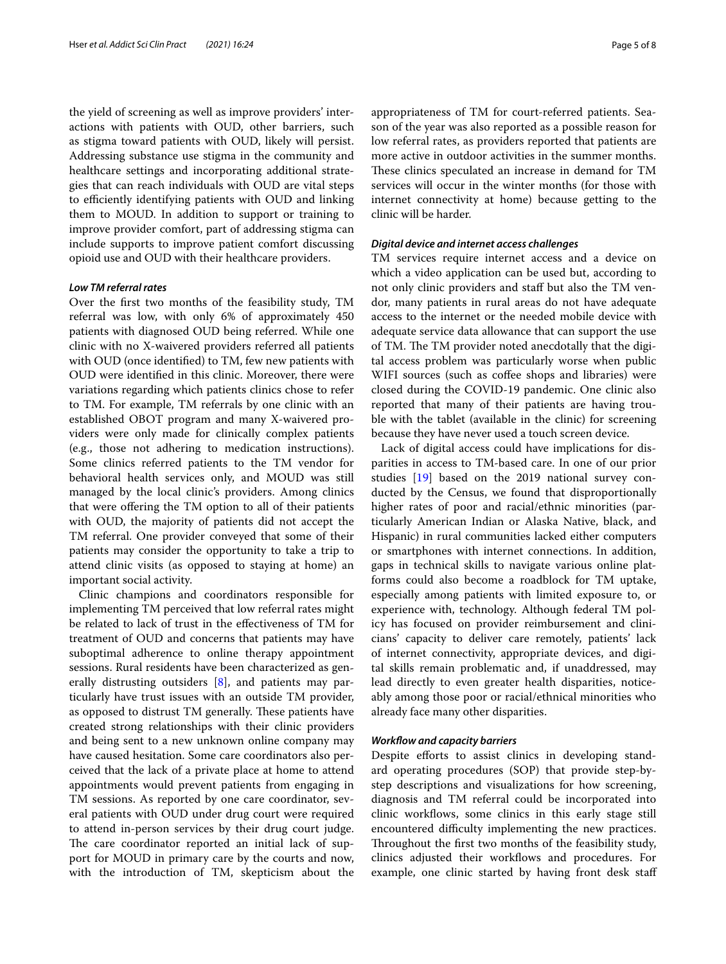the yield of screening as well as improve providers' interactions with patients with OUD, other barriers, such as stigma toward patients with OUD, likely will persist. Addressing substance use stigma in the community and healthcare settings and incorporating additional strategies that can reach individuals with OUD are vital steps to efficiently identifying patients with OUD and linking them to MOUD. In addition to support or training to improve provider comfort, part of addressing stigma can include supports to improve patient comfort discussing opioid use and OUD with their healthcare providers.

#### *Low TM referral rates*

Over the frst two months of the feasibility study, TM referral was low, with only 6% of approximately 450 patients with diagnosed OUD being referred. While one clinic with no X-waivered providers referred all patients with OUD (once identifed) to TM, few new patients with OUD were identifed in this clinic. Moreover, there were variations regarding which patients clinics chose to refer to TM. For example, TM referrals by one clinic with an established OBOT program and many X-waivered providers were only made for clinically complex patients (e.g., those not adhering to medication instructions). Some clinics referred patients to the TM vendor for behavioral health services only, and MOUD was still managed by the local clinic's providers. Among clinics that were ofering the TM option to all of their patients with OUD, the majority of patients did not accept the TM referral. One provider conveyed that some of their patients may consider the opportunity to take a trip to attend clinic visits (as opposed to staying at home) an important social activity.

Clinic champions and coordinators responsible for implementing TM perceived that low referral rates might be related to lack of trust in the efectiveness of TM for treatment of OUD and concerns that patients may have suboptimal adherence to online therapy appointment sessions. Rural residents have been characterized as generally distrusting outsiders [[8\]](#page-7-7), and patients may particularly have trust issues with an outside TM provider, as opposed to distrust TM generally. These patients have created strong relationships with their clinic providers and being sent to a new unknown online company may have caused hesitation. Some care coordinators also perceived that the lack of a private place at home to attend appointments would prevent patients from engaging in TM sessions. As reported by one care coordinator, several patients with OUD under drug court were required to attend in-person services by their drug court judge. The care coordinator reported an initial lack of support for MOUD in primary care by the courts and now, with the introduction of TM, skepticism about the appropriateness of TM for court-referred patients. Season of the year was also reported as a possible reason for low referral rates, as providers reported that patients are more active in outdoor activities in the summer months. These clinics speculated an increase in demand for TM services will occur in the winter months (for those with internet connectivity at home) because getting to the clinic will be harder.

#### *Digital device and internet access challenges*

TM services require internet access and a device on which a video application can be used but, according to not only clinic providers and staf but also the TM vendor, many patients in rural areas do not have adequate access to the internet or the needed mobile device with adequate service data allowance that can support the use of TM. The TM provider noted anecdotally that the digital access problem was particularly worse when public WIFI sources (such as cofee shops and libraries) were closed during the COVID-19 pandemic. One clinic also reported that many of their patients are having trouble with the tablet (available in the clinic) for screening because they have never used a touch screen device.

Lack of digital access could have implications for disparities in access to TM-based care. In one of our prior studies [[19\]](#page-7-18) based on the 2019 national survey conducted by the Census, we found that disproportionally higher rates of poor and racial/ethnic minorities (particularly American Indian or Alaska Native, black, and Hispanic) in rural communities lacked either computers or smartphones with internet connections. In addition, gaps in technical skills to navigate various online platforms could also become a roadblock for TM uptake, especially among patients with limited exposure to, or experience with, technology. Although federal TM policy has focused on provider reimbursement and clinicians' capacity to deliver care remotely, patients' lack of internet connectivity, appropriate devices, and digital skills remain problematic and, if unaddressed, may lead directly to even greater health disparities, noticeably among those poor or racial/ethnical minorities who already face many other disparities.

#### *Workfow and capacity barriers*

Despite efforts to assist clinics in developing standard operating procedures (SOP) that provide step-bystep descriptions and visualizations for how screening, diagnosis and TM referral could be incorporated into clinic workfows, some clinics in this early stage still encountered difficulty implementing the new practices. Throughout the first two months of the feasibility study, clinics adjusted their workflows and procedures. For example, one clinic started by having front desk staff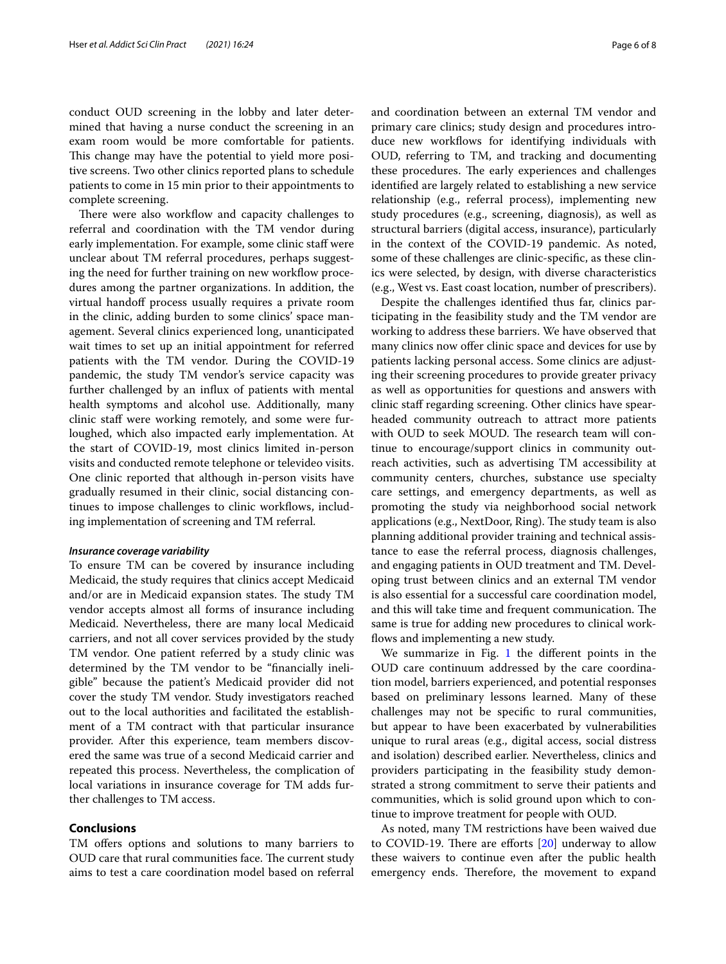conduct OUD screening in the lobby and later determined that having a nurse conduct the screening in an exam room would be more comfortable for patients. This change may have the potential to yield more positive screens. Two other clinics reported plans to schedule patients to come in 15 min prior to their appointments to complete screening.

There were also workflow and capacity challenges to referral and coordination with the TM vendor during early implementation. For example, some clinic staff were unclear about TM referral procedures, perhaps suggesting the need for further training on new workflow procedures among the partner organizations. In addition, the virtual handoff process usually requires a private room in the clinic, adding burden to some clinics' space management. Several clinics experienced long, unanticipated wait times to set up an initial appointment for referred patients with the TM vendor. During the COVID-19 pandemic, the study TM vendor's service capacity was further challenged by an infux of patients with mental health symptoms and alcohol use. Additionally, many clinic staff were working remotely, and some were furloughed, which also impacted early implementation. At the start of COVID-19, most clinics limited in-person visits and conducted remote telephone or televideo visits. One clinic reported that although in-person visits have gradually resumed in their clinic, social distancing continues to impose challenges to clinic workflows, including implementation of screening and TM referral.

#### *Insurance coverage variability*

To ensure TM can be covered by insurance including Medicaid, the study requires that clinics accept Medicaid and/or are in Medicaid expansion states. The study TM vendor accepts almost all forms of insurance including Medicaid. Nevertheless, there are many local Medicaid carriers, and not all cover services provided by the study TM vendor. One patient referred by a study clinic was determined by the TM vendor to be "fnancially ineligible" because the patient's Medicaid provider did not cover the study TM vendor. Study investigators reached out to the local authorities and facilitated the establishment of a TM contract with that particular insurance provider. After this experience, team members discovered the same was true of a second Medicaid carrier and repeated this process. Nevertheless, the complication of local variations in insurance coverage for TM adds further challenges to TM access.

#### **Conclusions**

TM offers options and solutions to many barriers to OUD care that rural communities face. The current study aims to test a care coordination model based on referral and coordination between an external TM vendor and primary care clinics; study design and procedures introduce new workflows for identifying individuals with OUD, referring to TM, and tracking and documenting these procedures. The early experiences and challenges identifed are largely related to establishing a new service relationship (e.g., referral process), implementing new study procedures (e.g., screening, diagnosis), as well as structural barriers (digital access, insurance), particularly in the context of the COVID-19 pandemic. As noted, some of these challenges are clinic-specifc, as these clinics were selected, by design, with diverse characteristics (e.g., West vs. East coast location, number of prescribers).

Despite the challenges identifed thus far, clinics participating in the feasibility study and the TM vendor are working to address these barriers. We have observed that many clinics now offer clinic space and devices for use by patients lacking personal access. Some clinics are adjusting their screening procedures to provide greater privacy as well as opportunities for questions and answers with clinic staf regarding screening. Other clinics have spearheaded community outreach to attract more patients with OUD to seek MOUD. The research team will continue to encourage/support clinics in community outreach activities, such as advertising TM accessibility at community centers, churches, substance use specialty care settings, and emergency departments, as well as promoting the study via neighborhood social network applications (e.g., NextDoor, Ring). The study team is also planning additional provider training and technical assistance to ease the referral process, diagnosis challenges, and engaging patients in OUD treatment and TM. Developing trust between clinics and an external TM vendor is also essential for a successful care coordination model, and this will take time and frequent communication. The same is true for adding new procedures to clinical workflows and implementing a new study.

We summarize in Fig. [1](#page-6-0) the different points in the OUD care continuum addressed by the care coordination model, barriers experienced, and potential responses based on preliminary lessons learned. Many of these challenges may not be specifc to rural communities, but appear to have been exacerbated by vulnerabilities unique to rural areas (e.g., digital access, social distress and isolation) described earlier. Nevertheless, clinics and providers participating in the feasibility study demonstrated a strong commitment to serve their patients and communities, which is solid ground upon which to continue to improve treatment for people with OUD.

As noted, many TM restrictions have been waived due to COVID-19. There are efforts  $[20]$  $[20]$  underway to allow these waivers to continue even after the public health emergency ends. Therefore, the movement to expand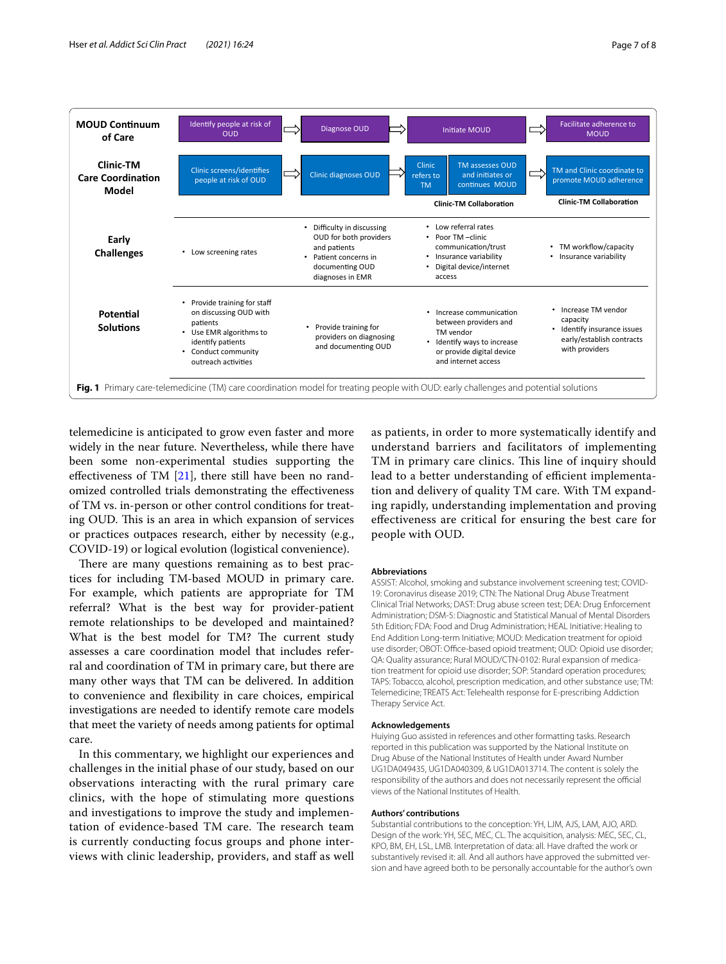

<span id="page-6-0"></span>telemedicine is anticipated to grow even faster and more widely in the near future. Nevertheless, while there have been some non-experimental studies supporting the effectiveness of TM  $[21]$ , there still have been no randomized controlled trials demonstrating the efectiveness of TM vs. in-person or other control conditions for treating OUD. This is an area in which expansion of services or practices outpaces research, either by necessity (e.g., COVID-19) or logical evolution (logistical convenience).

There are many questions remaining as to best practices for including TM-based MOUD in primary care. For example, which patients are appropriate for TM referral? What is the best way for provider-patient remote relationships to be developed and maintained? What is the best model for TM? The current study assesses a care coordination model that includes referral and coordination of TM in primary care, but there are many other ways that TM can be delivered. In addition to convenience and fexibility in care choices, empirical investigations are needed to identify remote care models that meet the variety of needs among patients for optimal care.

In this commentary, we highlight our experiences and challenges in the initial phase of our study, based on our observations interacting with the rural primary care clinics, with the hope of stimulating more questions and investigations to improve the study and implementation of evidence-based TM care. The research team is currently conducting focus groups and phone interviews with clinic leadership, providers, and staf as well

as patients, in order to more systematically identify and understand barriers and facilitators of implementing TM in primary care clinics. This line of inquiry should lead to a better understanding of efficient implementation and delivery of quality TM care. With TM expanding rapidly, understanding implementation and proving efectiveness are critical for ensuring the best care for people with OUD.

#### **Abbreviations**

ASSIST: Alcohol, smoking and substance involvement screening test; COVID-19: Coronavirus disease 2019; CTN: The National Drug Abuse Treatment Clinical Trial Networks; DAST: Drug abuse screen test; DEA: Drug Enforcement Administration; DSM-5: Diagnostic and Statistical Manual of Mental Disorders 5th Edition; FDA: Food and Drug Administration; HEAL Initiative: Healing to End Addition Long-term Initiative; MOUD: Medication treatment for opioid use disorder; OBOT: Office-based opioid treatment; OUD: Opioid use disorder; QA: Quality assurance; Rural MOUD/CTN-0102: Rural expansion of medication treatment for opioid use disorder; SOP: Standard operation procedures; TAPS: Tobacco, alcohol, prescription medication, and other substance use; TM: Telemedicine; TREATS Act: Telehealth response for E-prescribing Addiction Therapy Service Act.

#### **Acknowledgements**

Huiying Guo assisted in references and other formatting tasks. Research reported in this publication was supported by the National Institute on Drug Abuse of the National Institutes of Health under Award Number UG1DA049435, UG1DA040309, & UG1DA013714. The content is solely the responsibility of the authors and does not necessarily represent the official views of the National Institutes of Health.

#### **Authors' contributions**

Substantial contributions to the conception: YH, LJM, AJS, LAM, AJO, ARD. Design of the work: YH, SEC, MEC, CL. The acquisition, analysis: MEC, SEC, CL, KPO, BM, EH, LSL, LMB. Interpretation of data: all. Have drafted the work or substantively revised it: all. And all authors have approved the submitted version and have agreed both to be personally accountable for the author's own